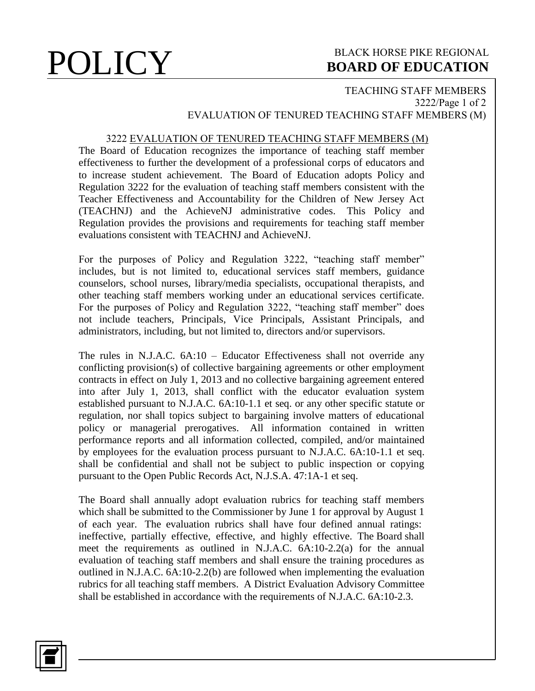# **POLICY** BLACK HORSE PIKE REGIONAL **BOARD OF EDUCATION BOARD OF EDUCATION**

## TEACHING STAFF MEMBERS 3222/Page 1 of 2 EVALUATION OF TENURED TEACHING STAFF MEMBERS (M)

## 3222 EVALUATION OF TENURED TEACHING STAFF MEMBERS (M)

The Board of Education recognizes the importance of teaching staff member effectiveness to further the development of a professional corps of educators and to increase student achievement. The Board of Education adopts Policy and Regulation 3222 for the evaluation of teaching staff members consistent with the Teacher Effectiveness and Accountability for the Children of New Jersey Act (TEACHNJ) and the AchieveNJ administrative codes. This Policy and Regulation provides the provisions and requirements for teaching staff member evaluations consistent with TEACHNJ and AchieveNJ.

For the purposes of Policy and Regulation 3222, "teaching staff member" includes, but is not limited to, educational services staff members, guidance counselors, school nurses, library/media specialists, occupational therapists, and other teaching staff members working under an educational services certificate. For the purposes of Policy and Regulation 3222, "teaching staff member" does not include teachers, Principals, Vice Principals, Assistant Principals, and administrators, including, but not limited to, directors and/or supervisors.

The rules in N.J.A.C. 6A:10 – Educator Effectiveness shall not override any conflicting provision(s) of collective bargaining agreements or other employment contracts in effect on July 1, 2013 and no collective bargaining agreement entered into after July 1, 2013, shall conflict with the educator evaluation system established pursuant to N.J.A.C. 6A:10-1.1 et seq. or any other specific statute or regulation, nor shall topics subject to bargaining involve matters of educational policy or managerial prerogatives. All information contained in written performance reports and all information collected, compiled, and/or maintained by employees for the evaluation process pursuant to N.J.A.C. 6A:10-1.1 et seq. shall be confidential and shall not be subject to public inspection or copying pursuant to the Open Public Records Act, N.J.S.A. 47:1A-1 et seq.

The Board shall annually adopt evaluation rubrics for teaching staff members which shall be submitted to the Commissioner by June 1 for approval by August 1 of each year. The evaluation rubrics shall have four defined annual ratings: ineffective, partially effective, effective, and highly effective. The Board shall meet the requirements as outlined in N.J.A.C. 6A:10-2.2(a) for the annual evaluation of teaching staff members and shall ensure the training procedures as outlined in N.J.A.C. 6A:10-2.2(b) are followed when implementing the evaluation rubrics for all teaching staff members. A District Evaluation Advisory Committee shall be established in accordance with the requirements of N.J.A.C. 6A:10-2.3.